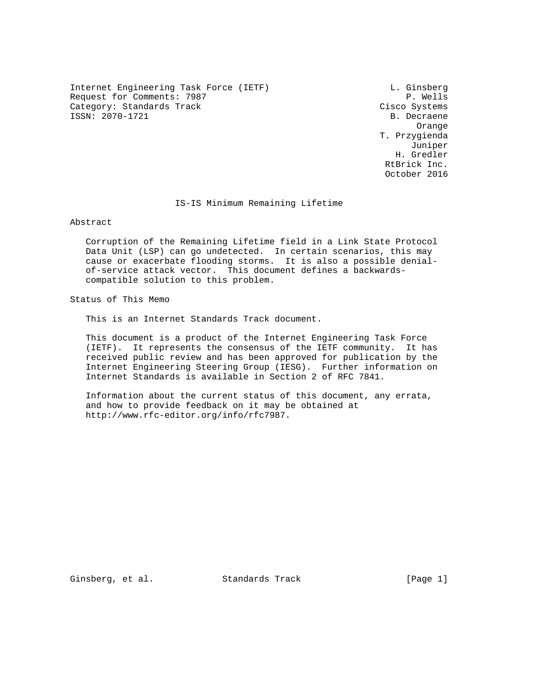Internet Engineering Task Force (IETF) L. Ginsberg Request for Comments: 7987 P. Wells Category: Standards Track Cisco Systems ISSN: 2070-1721 B. Decraene

 Orange T. Przygienda Juniper H. Gredler RtBrick Inc. October 2016

IS-IS Minimum Remaining Lifetime

Abstract

 Corruption of the Remaining Lifetime field in a Link State Protocol Data Unit (LSP) can go undetected. In certain scenarios, this may cause or exacerbate flooding storms. It is also a possible denial of-service attack vector. This document defines a backwards compatible solution to this problem.

Status of This Memo

This is an Internet Standards Track document.

 This document is a product of the Internet Engineering Task Force (IETF). It represents the consensus of the IETF community. It has received public review and has been approved for publication by the Internet Engineering Steering Group (IESG). Further information on Internet Standards is available in Section 2 of RFC 7841.

 Information about the current status of this document, any errata, and how to provide feedback on it may be obtained at http://www.rfc-editor.org/info/rfc7987.

Ginsberg, et al. Standards Track [Page 1]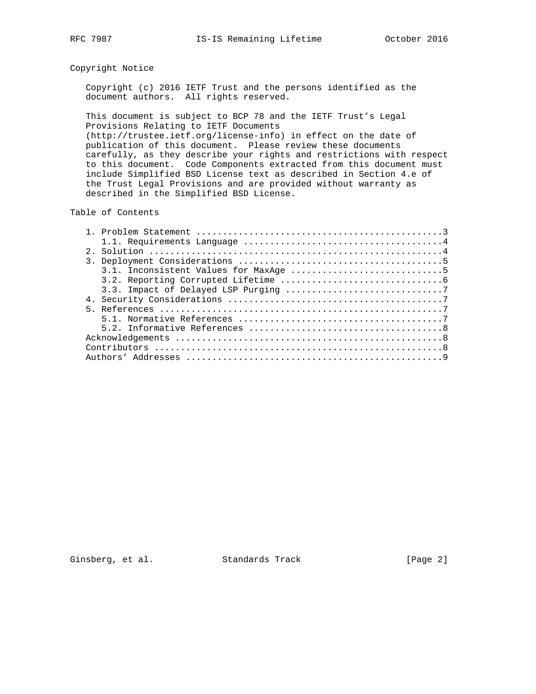## Copyright Notice

 Copyright (c) 2016 IETF Trust and the persons identified as the document authors. All rights reserved.

 This document is subject to BCP 78 and the IETF Trust's Legal Provisions Relating to IETF Documents (http://trustee.ietf.org/license-info) in effect on the date of publication of this document. Please review these documents carefully, as they describe your rights and restrictions with respect to this document. Code Components extracted from this document must include Simplified BSD License text as described in Section 4.e of the Trust Legal Provisions and are provided without warranty as

## Table of Contents

described in the Simplified BSD License.

Ginsberg, et al. Standards Track [Page 2]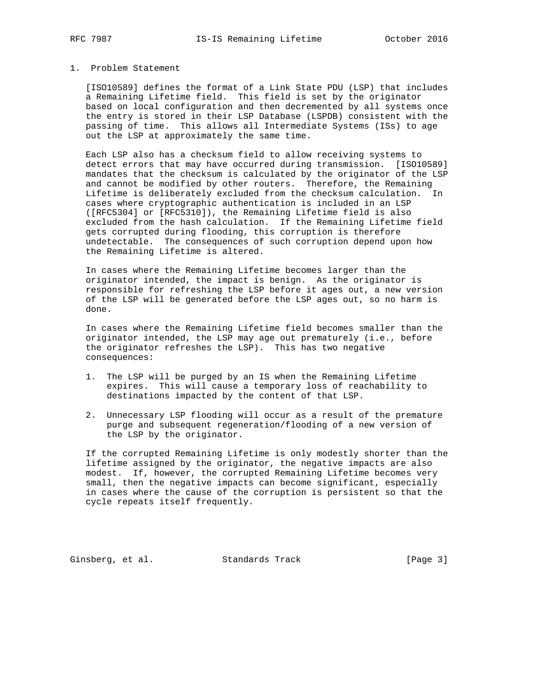## 1. Problem Statement

 [ISO10589] defines the format of a Link State PDU (LSP) that includes a Remaining Lifetime field. This field is set by the originator based on local configuration and then decremented by all systems once the entry is stored in their LSP Database (LSPDB) consistent with the passing of time. This allows all Intermediate Systems (ISs) to age out the LSP at approximately the same time.

 Each LSP also has a checksum field to allow receiving systems to detect errors that may have occurred during transmission. [ISO10589] mandates that the checksum is calculated by the originator of the LSP and cannot be modified by other routers. Therefore, the Remaining Lifetime is deliberately excluded from the checksum calculation. In cases where cryptographic authentication is included in an LSP ([RFC5304] or [RFC5310]), the Remaining Lifetime field is also excluded from the hash calculation. If the Remaining Lifetime field gets corrupted during flooding, this corruption is therefore undetectable. The consequences of such corruption depend upon how the Remaining Lifetime is altered.

 In cases where the Remaining Lifetime becomes larger than the originator intended, the impact is benign. As the originator is responsible for refreshing the LSP before it ages out, a new version of the LSP will be generated before the LSP ages out, so no harm is done.

 In cases where the Remaining Lifetime field becomes smaller than the originator intended, the LSP may age out prematurely (i.e., before the originator refreshes the LSP). This has two negative consequences:

- 1. The LSP will be purged by an IS when the Remaining Lifetime expires. This will cause a temporary loss of reachability to destinations impacted by the content of that LSP.
- 2. Unnecessary LSP flooding will occur as a result of the premature purge and subsequent regeneration/flooding of a new version of the LSP by the originator.

 If the corrupted Remaining Lifetime is only modestly shorter than the lifetime assigned by the originator, the negative impacts are also modest. If, however, the corrupted Remaining Lifetime becomes very small, then the negative impacts can become significant, especially in cases where the cause of the corruption is persistent so that the cycle repeats itself frequently.

Ginsberg, et al. Standards Track [Page 3]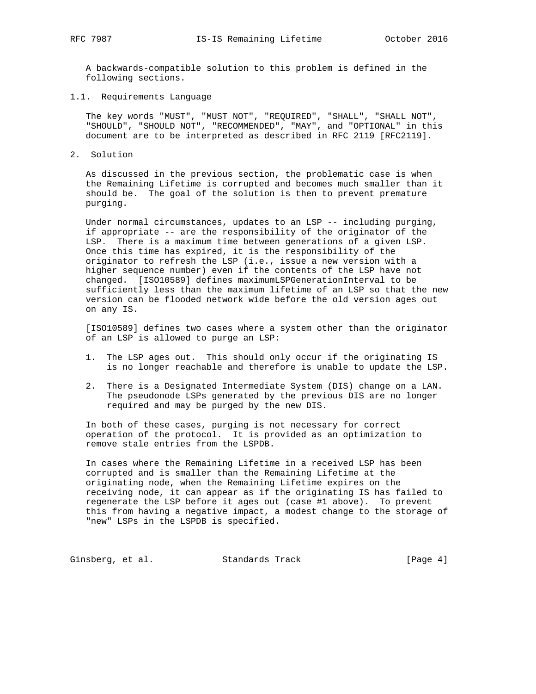A backwards-compatible solution to this problem is defined in the following sections.

1.1. Requirements Language

 The key words "MUST", "MUST NOT", "REQUIRED", "SHALL", "SHALL NOT", "SHOULD", "SHOULD NOT", "RECOMMENDED", "MAY", and "OPTIONAL" in this document are to be interpreted as described in RFC 2119 [RFC2119].

2. Solution

 As discussed in the previous section, the problematic case is when the Remaining Lifetime is corrupted and becomes much smaller than it should be. The goal of the solution is then to prevent premature purging.

 Under normal circumstances, updates to an LSP -- including purging, if appropriate -- are the responsibility of the originator of the LSP. There is a maximum time between generations of a given LSP. Once this time has expired, it is the responsibility of the originator to refresh the LSP (i.e., issue a new version with a higher sequence number) even if the contents of the LSP have not changed. [ISO10589] defines maximumLSPGenerationInterval to be sufficiently less than the maximum lifetime of an LSP so that the new version can be flooded network wide before the old version ages out on any IS.

 [ISO10589] defines two cases where a system other than the originator of an LSP is allowed to purge an LSP:

- 1. The LSP ages out. This should only occur if the originating IS is no longer reachable and therefore is unable to update the LSP.
- 2. There is a Designated Intermediate System (DIS) change on a LAN. The pseudonode LSPs generated by the previous DIS are no longer required and may be purged by the new DIS.

 In both of these cases, purging is not necessary for correct operation of the protocol. It is provided as an optimization to remove stale entries from the LSPDB.

 In cases where the Remaining Lifetime in a received LSP has been corrupted and is smaller than the Remaining Lifetime at the originating node, when the Remaining Lifetime expires on the receiving node, it can appear as if the originating IS has failed to regenerate the LSP before it ages out (case #1 above). To prevent this from having a negative impact, a modest change to the storage of "new" LSPs in the LSPDB is specified.

Ginsberg, et al. Standards Track [Page 4]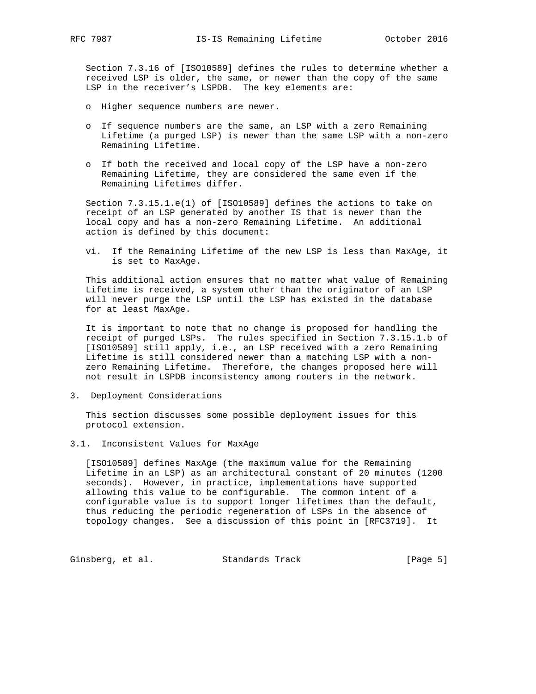Section 7.3.16 of [ISO10589] defines the rules to determine whether a received LSP is older, the same, or newer than the copy of the same LSP in the receiver's LSPDB. The key elements are:

- o Higher sequence numbers are newer.
- o If sequence numbers are the same, an LSP with a zero Remaining Lifetime (a purged LSP) is newer than the same LSP with a non-zero Remaining Lifetime.
- o If both the received and local copy of the LSP have a non-zero Remaining Lifetime, they are considered the same even if the Remaining Lifetimes differ.

 Section 7.3.15.1.e(1) of [ISO10589] defines the actions to take on receipt of an LSP generated by another IS that is newer than the local copy and has a non-zero Remaining Lifetime. An additional action is defined by this document:

 vi. If the Remaining Lifetime of the new LSP is less than MaxAge, it is set to MaxAge.

 This additional action ensures that no matter what value of Remaining Lifetime is received, a system other than the originator of an LSP will never purge the LSP until the LSP has existed in the database for at least MaxAge.

 It is important to note that no change is proposed for handling the receipt of purged LSPs. The rules specified in Section 7.3.15.1.b of [ISO10589] still apply, i.e., an LSP received with a zero Remaining Lifetime is still considered newer than a matching LSP with a non zero Remaining Lifetime. Therefore, the changes proposed here will not result in LSPDB inconsistency among routers in the network.

3. Deployment Considerations

 This section discusses some possible deployment issues for this protocol extension.

3.1. Inconsistent Values for MaxAge

 [ISO10589] defines MaxAge (the maximum value for the Remaining Lifetime in an LSP) as an architectural constant of 20 minutes (1200 seconds). However, in practice, implementations have supported allowing this value to be configurable. The common intent of a configurable value is to support longer lifetimes than the default, thus reducing the periodic regeneration of LSPs in the absence of topology changes. See a discussion of this point in [RFC3719]. It

Ginsberg, et al. Standards Track [Page 5]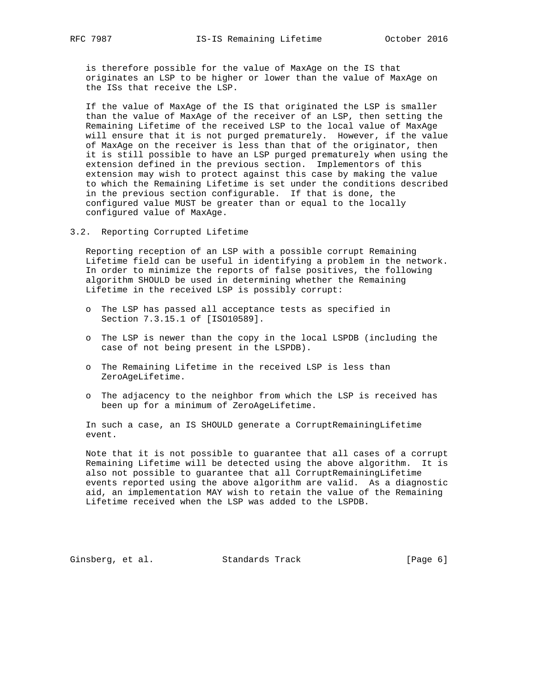is therefore possible for the value of MaxAge on the IS that originates an LSP to be higher or lower than the value of MaxAge on the ISs that receive the LSP.

 If the value of MaxAge of the IS that originated the LSP is smaller than the value of MaxAge of the receiver of an LSP, then setting the Remaining Lifetime of the received LSP to the local value of MaxAge will ensure that it is not purged prematurely. However, if the value of MaxAge on the receiver is less than that of the originator, then it is still possible to have an LSP purged prematurely when using the extension defined in the previous section. Implementors of this extension may wish to protect against this case by making the value to which the Remaining Lifetime is set under the conditions described in the previous section configurable. If that is done, the configured value MUST be greater than or equal to the locally configured value of MaxAge.

3.2. Reporting Corrupted Lifetime

 Reporting reception of an LSP with a possible corrupt Remaining Lifetime field can be useful in identifying a problem in the network. In order to minimize the reports of false positives, the following algorithm SHOULD be used in determining whether the Remaining Lifetime in the received LSP is possibly corrupt:

- o The LSP has passed all acceptance tests as specified in Section 7.3.15.1 of [ISO10589].
- o The LSP is newer than the copy in the local LSPDB (including the case of not being present in the LSPDB).
- o The Remaining Lifetime in the received LSP is less than ZeroAgeLifetime.
- o The adjacency to the neighbor from which the LSP is received has been up for a minimum of ZeroAgeLifetime.

 In such a case, an IS SHOULD generate a CorruptRemainingLifetime event.

 Note that it is not possible to guarantee that all cases of a corrupt Remaining Lifetime will be detected using the above algorithm. It is also not possible to guarantee that all CorruptRemainingLifetime events reported using the above algorithm are valid. As a diagnostic aid, an implementation MAY wish to retain the value of the Remaining Lifetime received when the LSP was added to the LSPDB.

Ginsberg, et al. Standards Track [Page 6]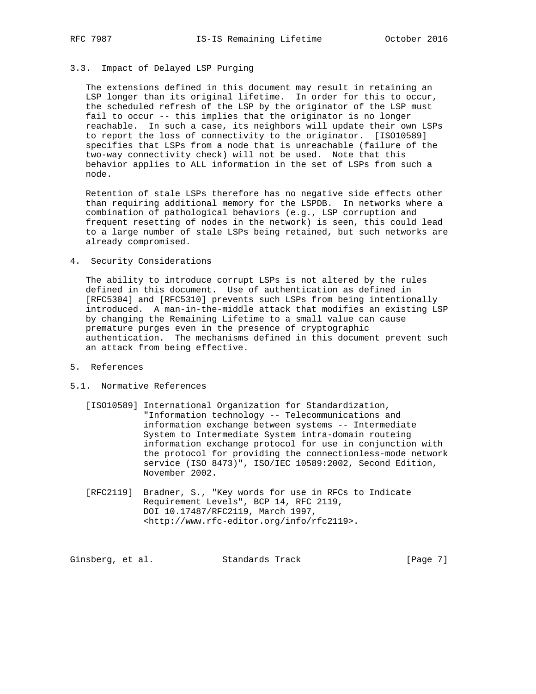## 3.3. Impact of Delayed LSP Purging

 The extensions defined in this document may result in retaining an LSP longer than its original lifetime. In order for this to occur, the scheduled refresh of the LSP by the originator of the LSP must fail to occur -- this implies that the originator is no longer reachable. In such a case, its neighbors will update their own LSPs to report the loss of connectivity to the originator. [ISO10589] specifies that LSPs from a node that is unreachable (failure of the two-way connectivity check) will not be used. Note that this behavior applies to ALL information in the set of LSPs from such a node.

 Retention of stale LSPs therefore has no negative side effects other than requiring additional memory for the LSPDB. In networks where a combination of pathological behaviors (e.g., LSP corruption and frequent resetting of nodes in the network) is seen, this could lead to a large number of stale LSPs being retained, but such networks are already compromised.

4. Security Considerations

 The ability to introduce corrupt LSPs is not altered by the rules defined in this document. Use of authentication as defined in [RFC5304] and [RFC5310] prevents such LSPs from being intentionally introduced. A man-in-the-middle attack that modifies an existing LSP by changing the Remaining Lifetime to a small value can cause premature purges even in the presence of cryptographic authentication. The mechanisms defined in this document prevent such an attack from being effective.

- 5. References
- 5.1. Normative References
	- [ISO10589] International Organization for Standardization, "Information technology -- Telecommunications and information exchange between systems -- Intermediate System to Intermediate System intra-domain routeing information exchange protocol for use in conjunction with the protocol for providing the connectionless-mode network service (ISO 8473)", ISO/IEC 10589:2002, Second Edition, November 2002.
	- [RFC2119] Bradner, S., "Key words for use in RFCs to Indicate Requirement Levels", BCP 14, RFC 2119, DOI 10.17487/RFC2119, March 1997, <http://www.rfc-editor.org/info/rfc2119>.

| [Page 7]<br>Ginsberg, et al.<br>Standards Track |  |  |  |  |
|-------------------------------------------------|--|--|--|--|
|-------------------------------------------------|--|--|--|--|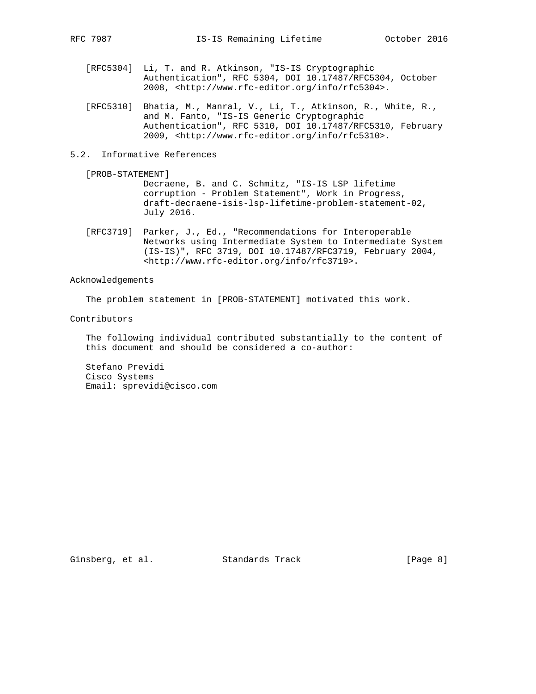- [RFC5304] Li, T. and R. Atkinson, "IS-IS Cryptographic Authentication", RFC 5304, DOI 10.17487/RFC5304, October 2008, <http://www.rfc-editor.org/info/rfc5304>.
- [RFC5310] Bhatia, M., Manral, V., Li, T., Atkinson, R., White, R., and M. Fanto, "IS-IS Generic Cryptographic Authentication", RFC 5310, DOI 10.17487/RFC5310, February 2009, <http://www.rfc-editor.org/info/rfc5310>.
- 5.2. Informative References
	- [PROB-STATEMENT] Decraene, B. and C. Schmitz, "IS-IS LSP lifetime corruption - Problem Statement", Work in Progress, draft-decraene-isis-lsp-lifetime-problem-statement-02, July 2016.
	- [RFC3719] Parker, J., Ed., "Recommendations for Interoperable Networks using Intermediate System to Intermediate System (IS-IS)", RFC 3719, DOI 10.17487/RFC3719, February 2004, <http://www.rfc-editor.org/info/rfc3719>.

Acknowledgements

The problem statement in [PROB-STATEMENT] motivated this work.

Contributors

 The following individual contributed substantially to the content of this document and should be considered a co-author:

 Stefano Previdi Cisco Systems Email: sprevidi@cisco.com

Ginsberg, et al. Standards Track [Page 8]